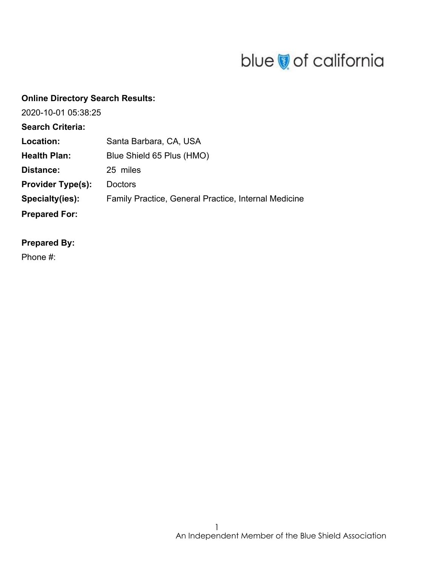# blue of california

| <b>Online Directory Search Results:</b> |                                                      |
|-----------------------------------------|------------------------------------------------------|
| 2020-10-01 05:38:25                     |                                                      |
| <b>Search Criteria:</b>                 |                                                      |
| Location:                               | Santa Barbara, CA, USA                               |
| <b>Health Plan:</b>                     | Blue Shield 65 Plus (HMO)                            |
| Distance:                               | 25 miles                                             |
| <b>Provider Type(s):</b>                | <b>Doctors</b>                                       |
| Specialty(ies):                         | Family Practice, General Practice, Internal Medicine |
| <b>Prepared For:</b>                    |                                                      |

### **Prepared By:**

Phone #: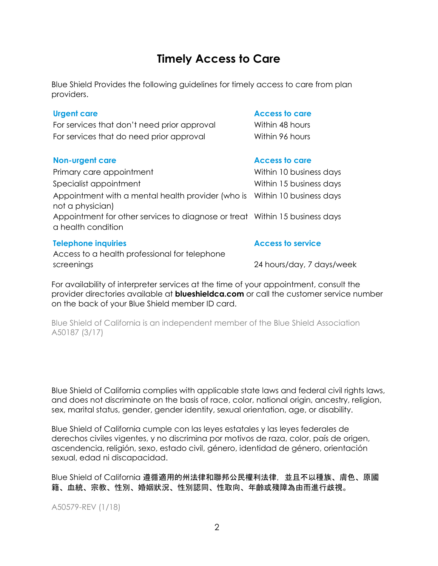## **Timely Access to Care**

Blue Shield Provides the following guidelines for timely access to care from plan providers.

For services that don't need prior approval Within 48 hours For services that do need prior approval Within 96 hours

### **Non-urgent care Access to care Access to care**

Primary care appointment The Milliam Communist Communist Within 10 business days Specialist appointment Night and Mithin 15 business days Appointment with a mental health provider (who is Within 10 business days not a physician) Appointment for other services to diagnose or treat Within 15 business days a health condition

### **Telephone inquiries Access to service**

Access to a health professional for telephone screenings 24 hours/day, 7 days/week

#### **Urgent care Access to care**

For availability of interpreter services at the time of your appointment, consult the provider directories available at **blueshieldca.com** or call the customer service number on the back of your Blue Shield member ID card.

Blue Shield of California is an independent member of the Blue Shield Association A50187 (3/17)

Blue Shield of California complies with applicable state laws and federal civil rights laws, and does not discriminate on the basis of race, color, national origin, ancestry, religion, sex, marital status, gender, gender identity, sexual orientation, age, or disability.

Blue Shield of California cumple con las leyes estatales y las leyes federales de derechos civiles vigentes, y no discrimina por motivos de raza, color, país de origen, ascendencia, religión, sexo, estado civil, género, identidad de género, orientación sexual, edad ni discapacidad.

Blue Shield of California 遵循適用的州法律和聯邦公民權利法律,並且不以種族、膚色、原國 籍、血統、宗教、性別、婚姻狀況、性別認同、性取向、年齡或殘障為由而進行歧視。

A50579-REV (1/18)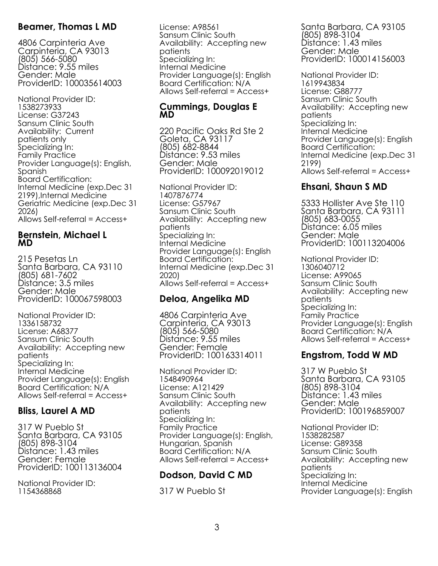### **Beamer, Thomas L MD**

4806 Carpinteria Ave Carpinteria, CA 93013 (805) 566-5080 Distance: 9.55 miles Gender: Male ProviderID: 100035614003

National Provider ID: 1538273933 License: G37243 Sansum Clinic South Availability: Current patients only Specializing In: Family Practice Provider Language(s): English, Spanish Board Certification: Internal Medicine (exp.Dec 31 2199),Internal Medicine Geriatric Medicine (exp.Dec 31 2026) Allows Self-referral = Access+

### **Bernstein, Michael L MD**

215 Pesetas Ln Santa Barbara, CA 93110 (805) 681-7602 Distance: 3.5 miles Gender: Male ProviderID: 100067598003

National Provider ID: 1336158732 License: A68377 Sansum Clinic South Availability: Accepting new patients Specializing In: Internal Medicine Provider Language(s): English Board Certification: N/A Allows Self-referral = Access+

### **Bliss, Laurel A MD**

317 W Pueblo St Santa Barbara, CA 93105 (805) 898-3104 Distance: 1.43 miles Gender: Female ProviderID: 100113136004

National Provider ID: 1154368868

License: A98561 Sansum Clinic South Availability: Accepting new patients Specializing In: Internal Medicine Provider Language(s): English Board Certification: N/A Allows Self-referral = Access+

### **Cummings, Douglas E MD**

220 Pacific Oaks Rd Ste 2 Goleta, CA 93117 (805) 682-8844 Distance: 9.53 miles Gender: Male ProviderID: 100092019012

National Provider ID: 1407876774 License: G57967 Sansum Clinic South Availability: Accepting new patients Specializing In: Internal Medicine Provider Language(s): English Board Certification: Internal Medicine (exp.Dec 31 2020) Allows Self-referral = Access+

### **Deloa, Angelika MD**

4806 Carpinteria Ave Carpinteria, CA 93013 (805) 566-5080 Distance: 9.55 miles Gender: Female ProviderID: 100163314011

National Provider ID: 1548490964 License: A121429 Sansum Clinic South Availability: Accepting new patients Specializing In: Family Practice Provider Language(s): English, Hungarian, Spanish Board Certification: N/A Allows Self-referral = Access+

### **Dodson, David C MD**

317 W Pueblo St

Santa Barbara, CA 93105 (805) 898-3104 Distance: 1.43 miles Gender: Male ProviderID: 100014156003

National Provider ID: 1619943834 License: G88777 Sansum Clinic South Availability: Accepting new patients Specializing In: Internal Medicine Provider Language(s): English Board Certification: Internal Medicine (exp.Dec 31 2199) Allows Self-referral = Access+

### **Ehsani, Shaun S MD**

 5333 Hollister Ave Ste 110 Santa Barbara, CA 93111 (805) 683-0055 Distance: 6.05 miles Gender: Male ProviderID: 100113204006

National Provider ID: 1306040712 License: A99065 Sansum Clinic South Availability: Accepting new patients Specializing In: Family Practice Provider Language(s): English Board Certification: N/A Allows Self-referral = Access+

### **Engstrom, Todd W MD**

317 W Pueblo St Santa Barbara, CA 93105 (805) 898-3104 Distance: 1.43 miles Gender: Male ProviderID: 100196859007

National Provider ID: 1538282587 License: G89358 Sansum Clinic South Availability: Accepting new patients Specializing In: Internal Medicine Provider Language(s): English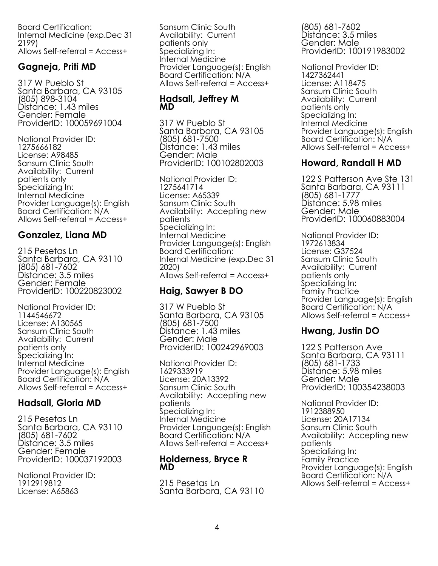Board Certification: Internal Medicine (exp.Dec 31 2199) Allows Self-referral = Access+

### **Gagneja, Priti MD**

 317 W Pueblo St Santa Barbara, CA 93105 (805) 898-3104 Distance: 1.43 miles Gender: Female ProviderID: 100059691004

National Provider ID: 1275666182 License: A98485 Sansum Clinic South Availability: Current patients only Specializing In: Internal Medicine Provider Language(s): English Board Certification: N/A Allows Self-referral = Access+

### **Gonzalez, Liana MD**

215 Pesetas Ln Santa Barbara, CA 93110 (805) 681-7602 Distance: 3.5 miles Gender: Female ProviderID: 100220823002

National Provider ID: 1144546672 License: A130565 Sansum Clinic South Availability: Current patients only Specializing In: Internal Medicine Provider Language(s): English Board Certification: N/A Allows Self-referral = Access+

### **Hadsall, Gloria MD**

215 Pesetas Ln Santa Barbara, CA 93110 (805) 681-7602 Distance: 3.5 miles Gender: Female ProviderID: 100037192003

National Provider ID: 1912919812 License: A65863

Sansum Clinic South Availability: Current patients only Specializing In: Internal Medicine Provider Language(s): English Board Certification: N/A Allows Self-referral = Access+

### **Hadsall, Jeffrey M MD**

 317 W Pueblo St Santa Barbara, CA 93105 (805) 681-7500 Distance: 1.43 miles Gender: Male ProviderID: 100102802003

National Provider ID: 1275641714 License: A65339 Sansum Clinic South Availability: Accepting new patients Specializing In: Internal Medicine Provider Language(s): English Board Certification: Internal Medicine (exp.Dec 31 2020) Allows Self-referral = Access+

### **Haig, Sawyer B DO**

317 W Pueblo St Santa Barbara, CA 93105 (805) 681-7500 Distance: 1.43 miles Gender: Male ProviderID: 100242969003

National Provider ID: 1629333919 License: 20A13392 Sansum Clinic South Availability: Accepting new patients Specializing In: Internal Medicine Provider Language(s): English Board Certification: N/A Allows Self-referral = Access+

### **Holderness, Bryce R MD**

215 Pesetas Ln Santa Barbara, CA 93110

(805) 681-7602 Distance: 3.5 miles Gender: Male ProviderID: 100191983002

National Provider ID: 1427362441 License: A118475 Sansum Clinic South Availability: Current patients only Specializing In: Internal Medicine Provider Language(s): English Board Certification: N/A Allows Self-referral = Access+

### **Howard, Randall H MD**

122 S Patterson Ave Ste 131 Santa Barbara, CA 93111 (805) 681-1777 Distance: 5.98 miles Gender: Male ProviderID: 100060883004

National Provider ID: 1972613834 License: G37524 Sansum Clinic South Availability: Current patients only Specializing In: Family Practice Provider Language(s): English Board Certification: N/A Allows Self-referral = Access+

### **Hwang, Justin DO**

122 S Patterson Ave Santa Barbara, CA 93111 (805) 681-1733 Distance: 5.98 miles Gender: Male ProviderID: 100354238003

National Provider ID: 1912388950 License: 20A17134 Sansum Clinic South Availability: Accepting new patients Specializing In: Family Practice Provider Language(s): English Board Certification: N/A Allows Self-referral = Access+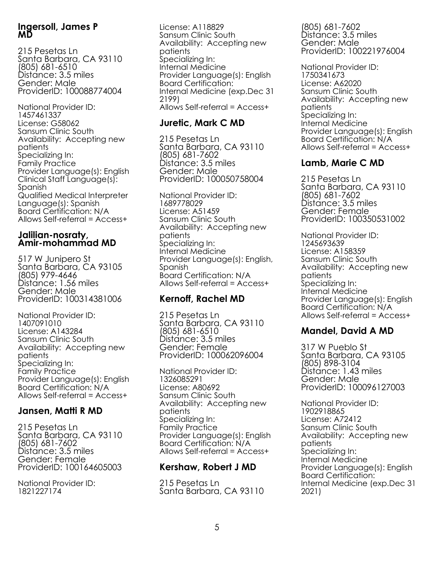### **Ingersoll, James P MD**

215 Pesetas Ln Santa Barbara, CA 93110 (805) 681-6510 Distance: 3.5 miles Gender: Male ProviderID: 100088774004

National Provider ID: 1457461337 License: G58062 Sansum Clinic South Availability: Accepting new patients Specializing In: Family Practice Provider Language(s): English Clinical Staff Language(s): Spanish Qualified Medical Interpreter Language(s): Spanish Board Certification: N/A Allows Self-referral = Access+

### **Jalilian-nosraty, Amir-mohammad MD**

517 W Junipero St Santa Barbara, CA 93105 (805) 979-4646 Distance: 1.56 miles Gender: Male ProviderID: 100314381006

National Provider ID: 1407091010 License: A143284 Sansum Clinic South Availability: Accepting new patients Specializing In: Family Practice Provider Language(s): English Board Certification: N/A Allows Self-referral = Access+

### **Jansen, Matti R MD**

215 Pesetas Ln Santa Barbara, CA 93110 (805) 681-7602 Distance: 3.5 miles Gender: Female ProviderID: 100164605003

National Provider ID: 1821227174

License: A118829 Sansum Clinic South Availability: Accepting new patients Specializing In: Internal Medicine Provider Language(s): English Board Certification: Internal Medicine (exp.Dec 31 2199) Allows Self-referral = Access+

### **Juretic, Mark C MD**

215 Pesetas Ln Santa Barbara, CA 93110 (805) 681-7602 Distance: 3.5 miles Gender: Male ProviderID: 100050758004

National Provider ID: 1689778029 License: A51459 Sansum Clinic South Availability: Accepting new patients Specializing In: Internal Medicine Provider Language(s): English, Spanish Board Certification: N/A Allows Self-referral = Access+

## **Kernoff, Rachel MD**

215 Pesetas Ln Santa Barbara, CA 93110 (805) 681-6510 Distance: 3.5 miles Gender: Female ProviderID: 100062096004

National Provider ID: 1326085291 License: A80692 Sansum Clinic South Availability: Accepting new patients Specializing In: Family Practice Provider Language(s): English Board Certification: N/A Allows Self-referral = Access+

## **Kershaw, Robert J MD**

215 Pesetas Ln Santa Barbara, CA 93110

(805) 681-7602 Distance: 3.5 miles Gender: Male ProviderID: 100221976004

National Provider ID: 1750341673 License: A62020 Sansum Clinic South Availability: Accepting new patients Specializing In: Internal Medicine Provider Language(s): English Board Certification: N/A Allows Self-referral = Access+

### **Lamb, Marie C MD**

215 Pesetas Ln Santa Barbara, CA 93110 (805) 681-7602 Distance: 3.5 miles Gender: Female ProviderID: 100350531002

National Provider ID: 1245693639 License: A158359 Sansum Clinic South Availability: Accepting new patients Specializing In: Internal Medicine Provider Language(s): English Board Certification: N/A Allows Self-referral = Access+

### **Mandel, David A MD**

 317 W Pueblo St Santa Barbara, CA 93105 (805) 898-3104 Distance: 1.43 miles Gender: Male ProviderID: 100096127003

National Provider ID: 1902918865 License: A72412 Sansum Clinic South Availability: Accepting new patients Specializing In: Internal Medicine Provider Language(s): English Board Certification: Internal Medicine (exp.Dec 31 2021)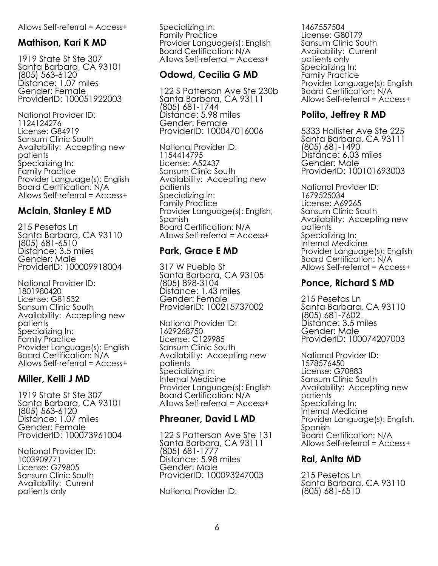#### Allows Self-referral = Access+

### **Mathison, Kari K MD**

1919 State St Ste 307 Santa Barbara, CA 93101 (805) 563-6120 Distance: 1.07 miles Gender: Female ProviderID: 100051922003

National Provider ID: 1124124276 License: G84919 Sansum Clinic South Availability: Accepting new patients Specializing In: Family Practice Provider Language(s): English Board Certification: N/A Allows Self-referral = Access+

### **Mclain, Stanley E MD**

215 Pesetas Ln Santa Barbara, CA 93110 (805) 681-6510 Distance: 3.5 miles Gender: Male ProviderID: 100009918004

National Provider ID: 1801980420 License: G81532 Sansum Clinic South Availability: Accepting new patients Specializing In: Family Practice Provider Language(s): English Board Certification: N/A Allows Self-referral = Access+

### **Miller, Kelli J MD**

1919 State St Ste 307 Santa Barbara, CA 93101 (805) 563-6120 Distance: 1.07 miles Gender: Female ProviderID: 100073961004

National Provider ID: 1003909771 License: G79805 Sansum Clinic South Availability: Current patients only

Specializing In: Family Practice Provider Language(s): English Board Certification: N/A Allows Self-referral = Access+

### **Odowd, Cecilia G MD**

122 S Patterson Ave Ste 230b Santa Barbara, CA 93111 (805) 681-1744 Distance: 5.98 miles Gender: Female ProviderID: 100047016006

National Provider ID: 1154414795 License: A52437 Sansum Clinic South Availability: Accepting new patients Specializing In: Family Practice Provider Language(s): English, Spanish Board Certification: N/A Allows Self-referral = Access+

### **Park, Grace E MD**

317 W Pueblo St Santa Barbara, CA 93105 (805) 898-3104 Distance: 1.43 miles Gender: Female ProviderID: 100215737002

National Provider ID: 1629268750 License: C129985 Sansum Clinic South Availability: Accepting new patients Specializing In: Internal Medicine Provider Language(s): English Board Certification: N/A Allows Self-referral = Access+

### **Phreaner, David L MD**

122 S Patterson Ave Ste 131 Santa Barbara, CA 93111 (805) 681-1777 Distance: 5.98 miles Gender: Male ProviderID: 100093247003

National Provider ID:

1467557504 License: G80179 Sansum Clinic South Availability: Current patients only Specializing In: Family Practice Provider Language(s): English Board Certification: N/A Allows Self-referral = Access+

## **Polito, Jeffrey R MD**

5333 Hollister Ave Ste 225 Santa Barbara, CA 93111 (805) 681-1490 Distance: 6.03 miles Gender: Male ProviderID: 100101693003

National Provider ID: 1679525034 License: A69265 Sansum Clinic South Availability: Accepting new patients Specializing In: Internal Medicine Provider Language(s): English Board Certification: N/A Allows Self-referral = Access+

### **Ponce, Richard S MD**

215 Pesetas Ln Santa Barbara, CA 93110 (805) 681-7602 Distance: 3.5 miles Gender: Male ProviderID: 100074207003

National Provider ID: 1578576450 License: G70883 Sansum Clinic South Availability: Accepting new patients Specializing In: Internal Medicine Provider Language(s): English, Spanish Board Certification: N/A Allows Self-referral = Access+

### **Rai, Anita MD**

215 Pesetas Ln Santa Barbara, CA 93110 (805) 681-6510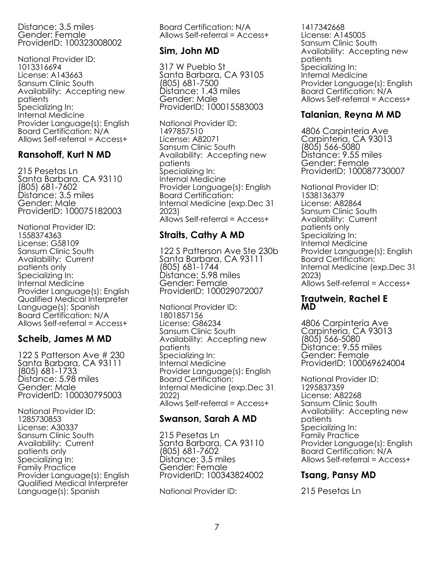Distance: 3.5 miles Gender: Female ProviderID: 100323008002

National Provider ID: 1013316694 License: A143663 Sansum Clinic South Availability: Accepting new patients Specializing In: Internal Medicine Provider Language(s): English Board Certification: N/A Allows Self-referral = Access+

### **Ransohoff, Kurt N MD**

215 Pesetas Ln Santa Barbara, CA 93110 (805) 681-7602 Distance: 3.5 miles Gender: Male ProviderID: 100075182003

National Provider ID: 1558374363 License: G58109 Sansum Clinic South Availability: Current patients only Specializing In: Internal Medicine Provider Language(s): English Qualified Medical Interpreter Language(s): Spanish Board Certification: N/A Allows Self-referral = Access+

### **Scheib, James M MD**

122 S Patterson Ave # 230 Santa Barbara, CA 93111 (805) 681-1733 Distance: 5.98 miles Gender: Male ProviderID: 100030795003

National Provider ID: 1285730853 License: A30337 Sansum Clinic South Availability: Current patients only Specializing In: Family Practice Provider Language(s): English Qualified Medical Interpreter Language(s): Spanish

Board Certification: N/A Allows Self-referral = Access+

### **Sim, John MD**

317 W Pueblo St Santa Barbara, CA 93105 (805) 681-7500 Distance: 1.43 miles Gender: Male ProviderID: 100015583003

National Provider ID: 1497857510 License: A82071 Sansum Clinic South Availability: Accepting new patients Specializing In: Internal Medicine Provider Language(s): English Board Certification: Internal Medicine (exp.Dec 31 2023) Allows Self-referral = Access+

### **Straits, Cathy A MD**

122 S Patterson Ave Ste 230b Santa Barbara, CA 93111 (805) 681-1744 Distance: 5.98 miles Gender: Female ProviderID: 100029072007

National Provider ID: 1801857156 License: G86234 Sansum Clinic South Availability: Accepting new patients Specializing In: Internal Medicine Provider Language(s): English Board Certification: Internal Medicine (exp.Dec 31 2022) Allows Self-referral = Access+

### **Swanson, Sarah A MD**

215 Pesetas Ln Santa Barbara, CA 93110 (805) 681-7602 Distance: 3.5 miles Gender: Female ProviderID: 100343824002

National Provider ID:

1417342668 License: A145005 Sansum Clinic South Availability: Accepting new patients Specializing In: Internal Medicine Provider Language(s): English Board Certification: N/A Allows Self-referral = Access+

### **Talanian, Reyna M MD**

4806 Carpinteria Ave Carpinteria, CA 93013 (805) 566-5080 Distance: 9.55 miles Gender: Female ProviderID: 100087730007

National Provider ID: 1538136379 License: A82864 Sansum Clinic South Availability: Current patients only Specializing In: Internal Medicine Provider Language(s): English Board Certification: Internal Medicine (exp.Dec 31 2023) Allows Self-referral = Access+

### **Trautwein, Rachel E MD**

4806 Carpinteria Ave Carpinteria, CA 93013 (805) 566-5080 Distance: 9.55 miles Gender: Female ProviderID: 100069624004

National Provider ID: 1295837359 License: A82268 Sansum Clinic South Availability: Accepting new patients Specializing In: Family Practice Provider Language(s): English Board Certification: N/A Allows Self-referral = Access+

### **Tsang, Pansy MD**

215 Pesetas Ln